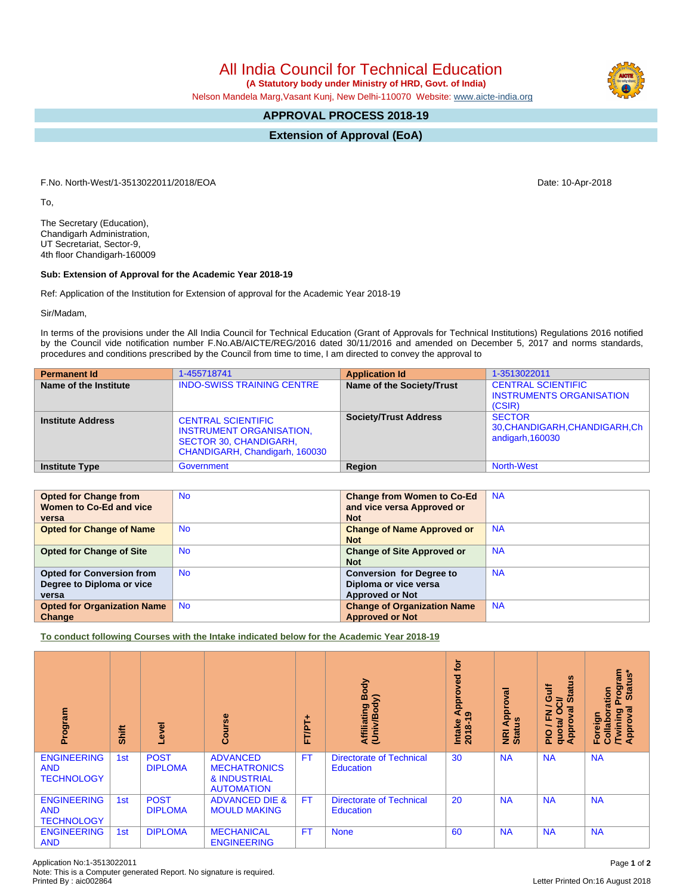# All India Council for Technical Education

 **(A Statutory body under Ministry of HRD, Govt. of India)**

Nelson Mandela Marg,Vasant Kunj, New Delhi-110070 Website: [www.aicte-india.org](http://www.aicte-india.org)

## **APPROVAL PROCESS 2018-19**

**Extension of Approval (EoA)**

F.No. North-West/1-3513022011/2018/EOA Date: 10-Apr-2018

To,

The Secretary (Education), Chandigarh Administration, UT Secretariat, Sector-9, 4th floor Chandigarh-160009

### **Sub: Extension of Approval for the Academic Year 2018-19**

Ref: Application of the Institution for Extension of approval for the Academic Year 2018-19

Sir/Madam,

In terms of the provisions under the All India Council for Technical Education (Grant of Approvals for Technical Institutions) Regulations 2016 notified by the Council vide notification number F.No.AB/AICTE/REG/2016 dated 30/11/2016 and amended on December 5, 2017 and norms standards, procedures and conditions prescribed by the Council from time to time, I am directed to convey the approval to

| <b>Permanent Id</b>      | 1-455718741                                                                                                                     | <b>Application Id</b>        | 1-3513022011                                                           |
|--------------------------|---------------------------------------------------------------------------------------------------------------------------------|------------------------------|------------------------------------------------------------------------|
| Name of the Institute    | <b>INDO-SWISS TRAINING CENTRE</b>                                                                                               | Name of the Society/Trust    | <b>CENTRAL SCIENTIFIC</b><br><b>INSTRUMENTS ORGANISATION</b><br>(CSIR) |
| <b>Institute Address</b> | <b>CENTRAL SCIENTIFIC</b><br><b>INSTRUMENT ORGANISATION.</b><br><b>SECTOR 30, CHANDIGARH,</b><br>CHANDIGARH, Chandigarh, 160030 | <b>Society/Trust Address</b> | <b>SECTOR</b><br>30, CHANDIGARH, CHANDIGARH, Ch<br>andigarh, 160030    |
| <b>Institute Type</b>    | Government                                                                                                                      | Region                       | <b>North-West</b>                                                      |

| <b>Opted for Change from</b><br>Women to Co-Ed and vice<br>versa       | No.       | <b>Change from Women to Co-Ed</b><br>and vice versa Approved or<br><b>Not</b>      | <b>NA</b> |
|------------------------------------------------------------------------|-----------|------------------------------------------------------------------------------------|-----------|
| <b>Opted for Change of Name</b>                                        | <b>No</b> | <b>Change of Name Approved or</b><br><b>Not</b>                                    | <b>NA</b> |
| <b>Opted for Change of Site</b>                                        | <b>No</b> | <b>Change of Site Approved or</b><br><b>Not</b>                                    | <b>NA</b> |
| <b>Opted for Conversion from</b><br>Degree to Diploma or vice<br>versa | <b>No</b> | <b>Conversion for Degree to</b><br>Diploma or vice versa<br><b>Approved or Not</b> | <b>NA</b> |
| <b>Opted for Organization Name</b><br>Change                           | <b>No</b> | <b>Change of Organization Name</b><br><b>Approved or Not</b>                       | <b>NA</b> |

**To conduct following Courses with the Intake indicated below for the Academic Year 2018-19**

| Program                                               | Shift | g<br>۹                        | urse<br>ဒ္ပိ                                                                | FT/PT+    | Body<br>$\mathbf{\hat{s}}$<br><b>Affiliating I</b><br>(Univ/Body |    | ख़<br>Approv<br><b>NRI Ap</b><br>Status | $\boldsymbol{\omega}$<br><b>Jire</b><br>Ē<br>ဖာ<br>∍<br>∽<br>网<br>준<br><b>quota/</b><br>Approv<br>$\frac{1}{2}$ | menfou <sub>c</sub><br>Status*<br>oration<br>ड़<br>Twining<br>Foreign<br>Collab<br>Ö<br>Appr |
|-------------------------------------------------------|-------|-------------------------------|-----------------------------------------------------------------------------|-----------|------------------------------------------------------------------|----|-----------------------------------------|-----------------------------------------------------------------------------------------------------------------|----------------------------------------------------------------------------------------------|
| <b>ENGINEERING</b><br><b>AND</b><br><b>TECHNOLOGY</b> | 1st   | <b>POST</b><br><b>DIPLOMA</b> | <b>ADVANCED</b><br><b>MECHATRONICS</b><br>& INDUSTRIAL<br><b>AUTOMATION</b> | <b>FT</b> | <b>Directorate of Technical</b><br><b>Education</b>              | 30 | <b>NA</b>                               | <b>NA</b>                                                                                                       | <b>NA</b>                                                                                    |
| <b>ENGINEERING</b><br><b>AND</b><br><b>TECHNOLOGY</b> | 1st   | <b>POST</b><br><b>DIPLOMA</b> | <b>ADVANCED DIE &amp;</b><br><b>MOULD MAKING</b>                            | <b>FT</b> | <b>Directorate of Technical</b><br><b>Education</b>              | 20 | <b>NA</b>                               | <b>NA</b>                                                                                                       | <b>NA</b>                                                                                    |
| <b>ENGINEERING</b><br><b>AND</b>                      | 1st   | <b>DIPLOMA</b>                | <b>MECHANICAL</b><br><b>ENGINEERING</b>                                     | <b>FT</b> | <b>None</b>                                                      | 60 | <b>NA</b>                               | <b>NA</b>                                                                                                       | <b>NA</b>                                                                                    |